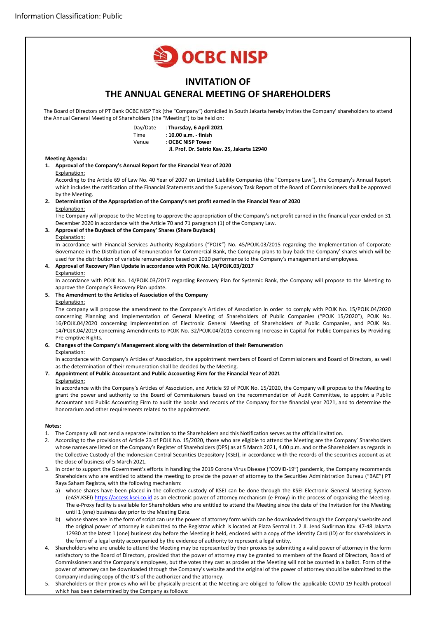

12930 at the latest 1 (one) business day before the Meeting is held, enclosed with a copy of the Identity Card (ID) or for shareholders in the form of a legal entity accompanied by the evidence of authority to represent a legal entity. 4. Shareholders who are unable to attend the Meeting may be represented by their proxies by submitting a valid power of attorney in the form satisfactory to the Board of Directors, provided that the power of attorney may be granted to members of the Board of Directors, Board of

Commissioners and the Company's employees, but the votes they cast as proxies at the Meeting will not be counted in a ballot. Form of the power of attorney can be downloaded through the Company's website and the original of the power of attorney should be submitted to the Company including copy of the ID's of the authorizer and the attorney.

5. Shareholders or their proxies who will be physically present at the Meeting are obliged to follow the applicable COVID-19 health protocol which has been determined by the Company as follows: